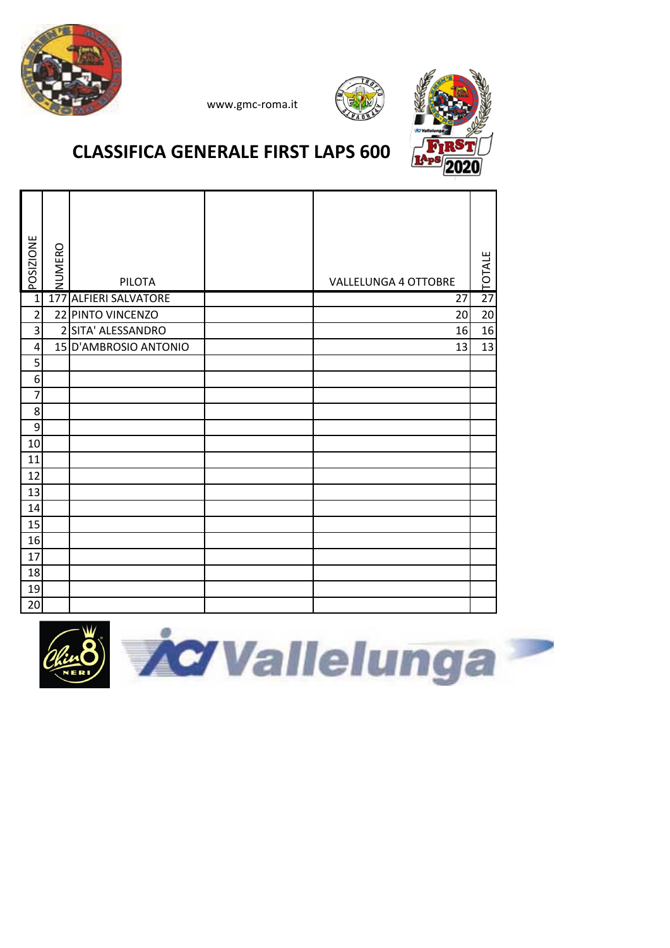





### **CLASSIFICA GENERALE FIRST LAPS 600**

| POSIZIONE        | NUMERO | <b>PILOTA</b>            | <b>VALLELUNGA 4 OTTOBRE</b> | TOTALE          |
|------------------|--------|--------------------------|-----------------------------|-----------------|
| $\mathbf{1}$     | 177    | <b>ALFIERI SALVATORE</b> | 27                          | $\overline{27}$ |
| $\overline{2}$   |        | 22 PINTO VINCENZO        | 20                          | 20              |
| 3                |        | 2 SITA' ALESSANDRO       | 16                          | 16              |
| 4                |        | 15 D'AMBROSIO ANTONIO    | 13                          | 13              |
| 5                |        |                          |                             |                 |
| 6                |        |                          |                             |                 |
| $\overline{7}$   |        |                          |                             |                 |
| 8                |        |                          |                             |                 |
| $\boldsymbol{9}$ |        |                          |                             |                 |
| 10               |        |                          |                             |                 |
| 11               |        |                          |                             |                 |
| 12               |        |                          |                             |                 |
| 13               |        |                          |                             |                 |
| 14               |        |                          |                             |                 |
| 15               |        |                          |                             |                 |
| 16               |        |                          |                             |                 |
| 17               |        |                          |                             |                 |
| 18               |        |                          |                             |                 |
| 19               |        |                          |                             |                 |
| 20               |        |                          |                             |                 |

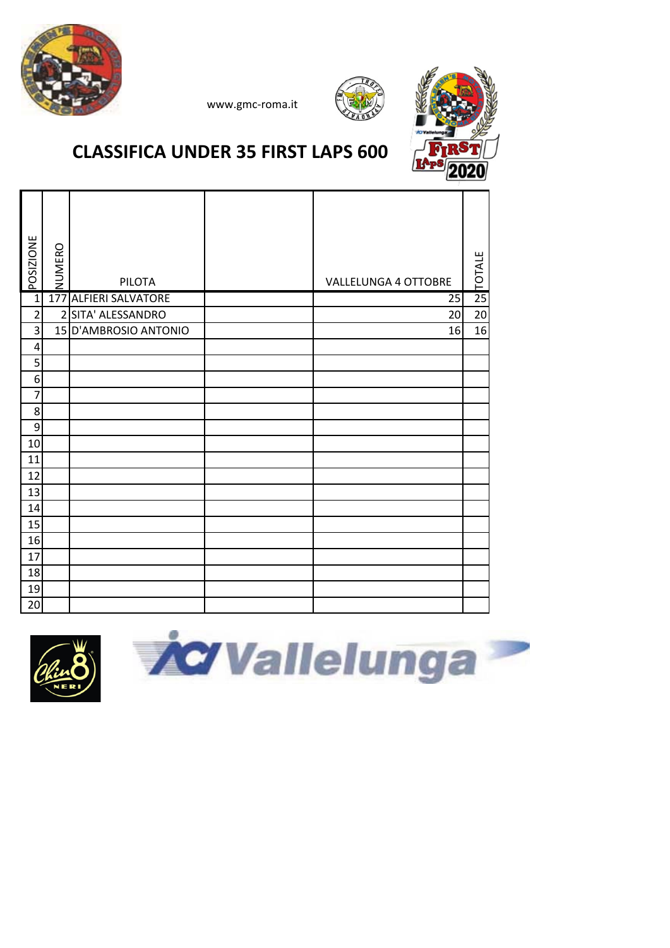





# **CLASSIFICA UNDER 35 FIRST LAPS 600**

| <b>POSIZIONE</b>        | NUMERO         | <b>PILOTA</b>         | <b>VALLELUNGA 4 OTTOBRE</b> | 21ALE           |
|-------------------------|----------------|-----------------------|-----------------------------|-----------------|
| $\overline{1}$          |                | 177 ALFIERI SALVATORE | 25                          |                 |
| $\overline{\mathbf{c}}$ | $\overline{2}$ | SITA' ALESSANDRO      | 20                          | $\overline{20}$ |
| 3                       |                | 15 D'AMBROSIO ANTONIO | 16                          | 16              |
| $\overline{\mathbf{r}}$ |                |                       |                             |                 |
| 5                       |                |                       |                             |                 |
| 6                       |                |                       |                             |                 |
| $\overline{7}$          |                |                       |                             |                 |
| 8                       |                |                       |                             |                 |
| 9                       |                |                       |                             |                 |
| $10\,$                  |                |                       |                             |                 |
| 11                      |                |                       |                             |                 |
| 12                      |                |                       |                             |                 |
| 13                      |                |                       |                             |                 |
| 14                      |                |                       |                             |                 |
| 15                      |                |                       |                             |                 |
| 16                      |                |                       |                             |                 |
| 17                      |                |                       |                             |                 |
| 18                      |                |                       |                             |                 |
| 19                      |                |                       |                             |                 |
| 20                      |                |                       |                             |                 |



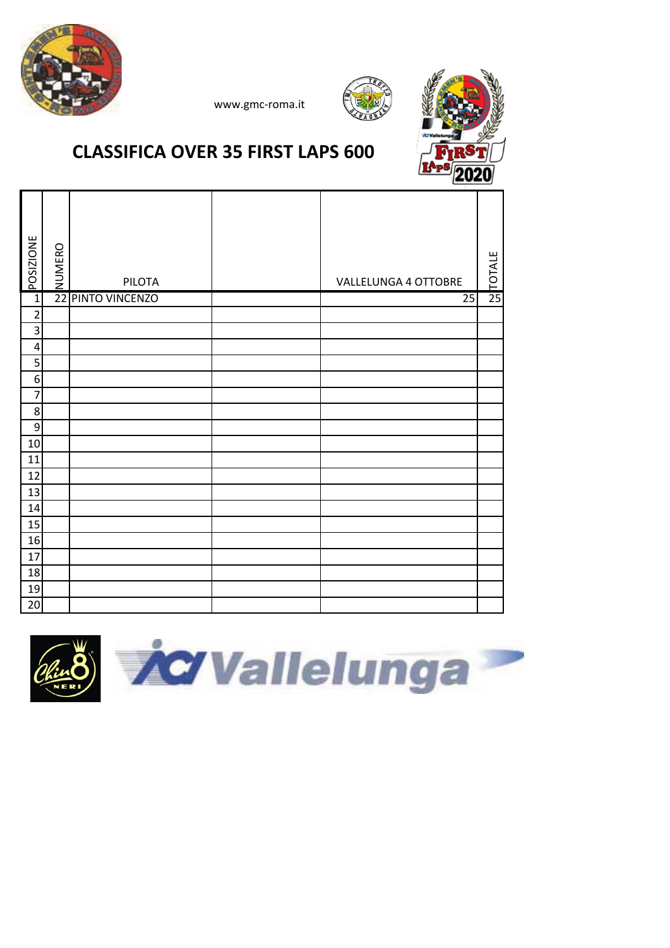





#### **CLASSIFICA OVER 35 FIRST LAPS 600**

| <b>POSIZIONE</b> | NUMERO          | PILOTA         | VALLELUNGA 4 OTTOBRE | 25<br>TOTALE |
|------------------|-----------------|----------------|----------------------|--------------|
| $\mathbf{1}$     | $\overline{22}$ | PINTO VINCENZO | $\overline{25}$      |              |
| $\overline{2}$   |                 |                |                      |              |
| 3                |                 |                |                      |              |
| $\pmb{4}$        |                 |                |                      |              |
| 5                |                 |                |                      |              |
| $\boldsymbol{6}$ |                 |                |                      |              |
| $\overline{7}$   |                 |                |                      |              |
| $\bf 8$          |                 |                |                      |              |
| 9                |                 |                |                      |              |
| 10               |                 |                |                      |              |
| 11               |                 |                |                      |              |
| 12               |                 |                |                      |              |
| 13               |                 |                |                      |              |
| $14\,$           |                 |                |                      |              |
| 15               |                 |                |                      |              |
| 16               |                 |                |                      |              |
| 17               |                 |                |                      |              |
| 18               |                 |                |                      |              |
| 19               |                 |                |                      |              |
| 20               |                 |                |                      |              |

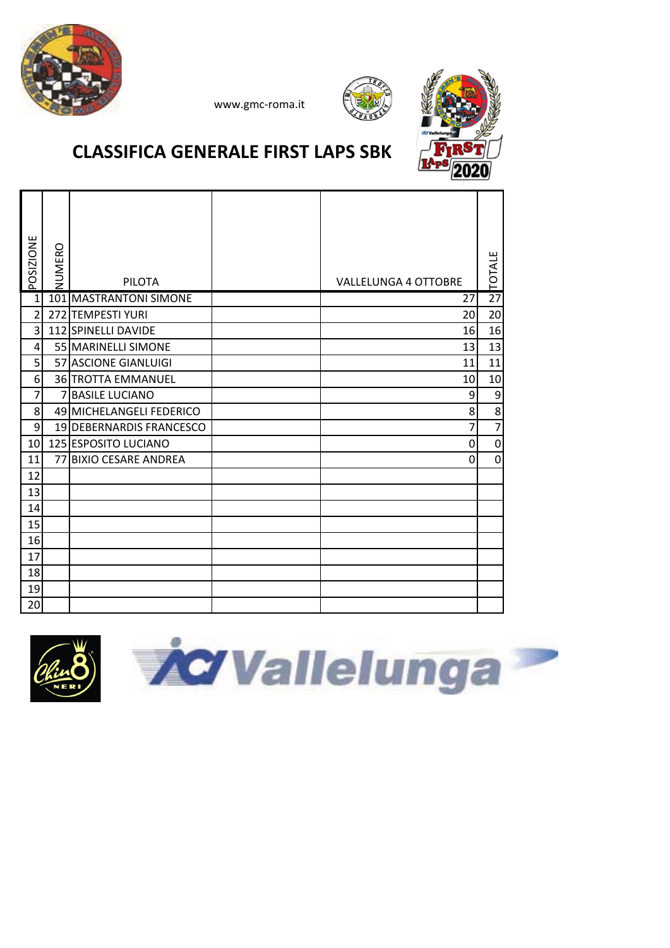





### **CLASSIFICA GENERALE FIRST LAPS SBK**

| POSIZIONE      | <b>NUMERO</b> | <b>PILOTA</b>              | <b>VALLELUNGA 4 OTTOBRE</b> | <b>TOTALE</b>   |
|----------------|---------------|----------------------------|-----------------------------|-----------------|
| $\mathbf{1}$   |               | 101 MASTRANTONI SIMONE     | 27                          | $\overline{27}$ |
| $\overline{2}$ |               | 272 TEMPESTI YURI          | 20                          | 20              |
| 3              |               | 112 SPINELLI DAVIDE        | 16                          | 16              |
| 4              |               | 55 MARINELLI SIMONE        | 13                          | 13              |
| 5              |               | 57 ASCIONE GIANLUIGI       | 11                          | 11              |
| 6              |               | 36 TROTTA EMMANUEL         | 10                          | 10              |
| 7              | 7             | <b>BASILE LUCIANO</b>      | 9                           | 9               |
| 8              |               | 49 MICHELANGELI FEDERICO   | 8                           | $\overline{8}$  |
| $9\,$          |               | 19 DEBERNARDIS FRANCESCO   | 7                           | $\overline{7}$  |
| 10             |               | 125 ESPOSITO LUCIANO       | 0                           | $\mathbf 0$     |
| 11             | 77            | <b>BIXIO CESARE ANDREA</b> | 0                           | $\overline{0}$  |
| 12             |               |                            |                             |                 |
| 13             |               |                            |                             |                 |
| 14             |               |                            |                             |                 |
| 15             |               |                            |                             |                 |
| 16             |               |                            |                             |                 |
| 17             |               |                            |                             |                 |
| 18             |               |                            |                             |                 |
| 19             |               |                            |                             |                 |
| 20             |               |                            |                             |                 |



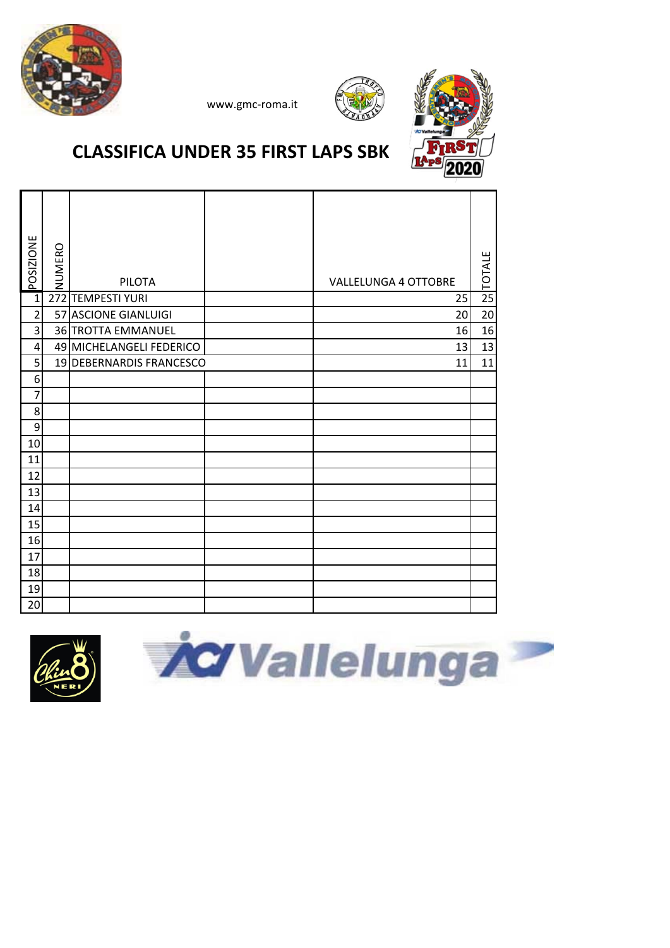





# **CLASSIFICA UNDER 35 FIRST LAPS SBK**

| <b>POSIZIONE</b> | NUMERO | <b>PILOTA</b>            | <b>VALLELUNGA 4 OTTOBRE</b> | <b>TOTALE</b>   |
|------------------|--------|--------------------------|-----------------------------|-----------------|
| $\overline{1}$   | 272    | <b>TEMPESTI YURI</b>     | 25                          | $\overline{25}$ |
| $\overline{2}$   |        | 57 ASCIONE GIANLUIGI     | 20                          | 20              |
| $\overline{3}$   |        | 36 TROTTA EMMANUEL       | 16                          | 16              |
| $\overline{4}$   |        | 49 MICHELANGELI FEDERICO | 13                          | 13              |
| 5                |        | 19 DEBERNARDIS FRANCESCO | 11                          | 11              |
| 6                |        |                          |                             |                 |
| $\overline{7}$   |        |                          |                             |                 |
| $\bf 8$          |        |                          |                             |                 |
| $\boldsymbol{9}$ |        |                          |                             |                 |
| 10               |        |                          |                             |                 |
| 11               |        |                          |                             |                 |
| 12               |        |                          |                             |                 |
| 13               |        |                          |                             |                 |
| 14               |        |                          |                             |                 |
| 15               |        |                          |                             |                 |
| 16               |        |                          |                             |                 |
| 17               |        |                          |                             |                 |
| 18               |        |                          |                             |                 |
| 19               |        |                          |                             |                 |
| 20               |        |                          |                             |                 |